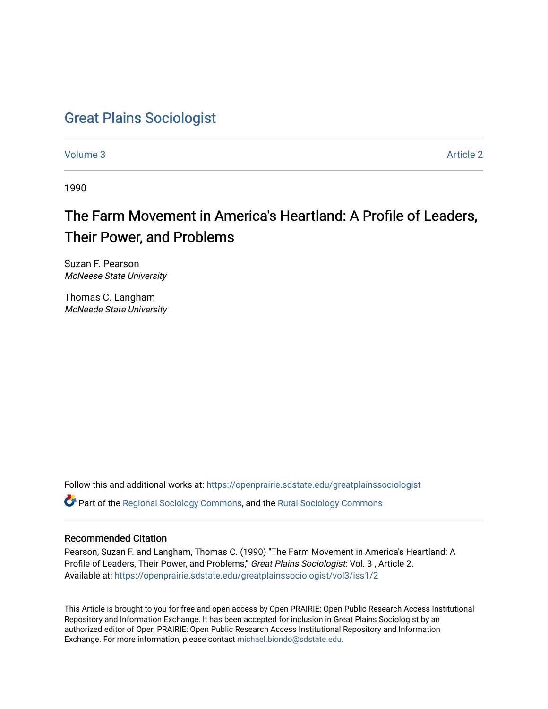# [Great Plains Sociologist](https://openprairie.sdstate.edu/greatplainssociologist)

[Volume 3](https://openprairie.sdstate.edu/greatplainssociologist/vol3) Article 2

1990

# The Farm Movement in America's Heartland: A Profile of Leaders, Their Power, and Problems

Suzan F. Pearson McNeese State University

Thomas C. Langham McNeede State University

Follow this and additional works at: [https://openprairie.sdstate.edu/greatplainssociologist](https://openprairie.sdstate.edu/greatplainssociologist?utm_source=openprairie.sdstate.edu%2Fgreatplainssociologist%2Fvol3%2Fiss1%2F2&utm_medium=PDF&utm_campaign=PDFCoverPages) 

Part of the [Regional Sociology Commons](http://network.bepress.com/hgg/discipline/427?utm_source=openprairie.sdstate.edu%2Fgreatplainssociologist%2Fvol3%2Fiss1%2F2&utm_medium=PDF&utm_campaign=PDFCoverPages), and the [Rural Sociology Commons](http://network.bepress.com/hgg/discipline/428?utm_source=openprairie.sdstate.edu%2Fgreatplainssociologist%2Fvol3%2Fiss1%2F2&utm_medium=PDF&utm_campaign=PDFCoverPages) 

# Recommended Citation

Pearson, Suzan F. and Langham, Thomas C. (1990) "The Farm Movement in America's Heartland: A Profile of Leaders, Their Power, and Problems," Great Plains Sociologist: Vol. 3 , Article 2. Available at: [https://openprairie.sdstate.edu/greatplainssociologist/vol3/iss1/2](https://openprairie.sdstate.edu/greatplainssociologist/vol3/iss1/2?utm_source=openprairie.sdstate.edu%2Fgreatplainssociologist%2Fvol3%2Fiss1%2F2&utm_medium=PDF&utm_campaign=PDFCoverPages) 

This Article is brought to you for free and open access by Open PRAIRIE: Open Public Research Access Institutional Repository and Information Exchange. It has been accepted for inclusion in Great Plains Sociologist by an authorized editor of Open PRAIRIE: Open Public Research Access Institutional Repository and Information Exchange. For more information, please contact [michael.biondo@sdstate.edu.](mailto:michael.biondo@sdstate.edu)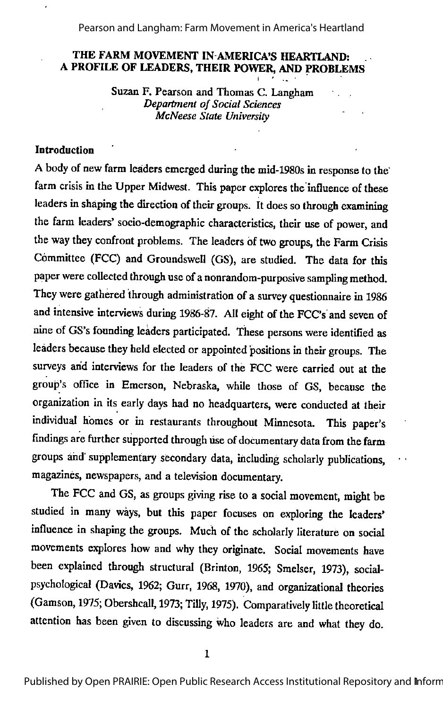Pearson and Langham: Farm Movement in America's Heartland

# THE FARM MOVEMENT IN AMERICA'S HEARTLAND: A PROFILE OF LEADERS, THEIR POWER, AND PROBLEMS

Suzan F. Pearson and Thomas C. Langham Department of Social Sciences McNeese State University

### **Introduction**

A body of new farm leaders emerged during the mid-1980s in response to the farm crisis in the Upper Midwest. This paper explores the influence of these leaders in shaping the direction of their groups. It does so through examining the farm leaders' socio-demographic characteristics, their use of power, and the way they confront problems. The leaders of two groups, the Farm Crisis Committee (FCC) and Groundswell (GS), are studied. The data for this paper were collected through use of a nonrandom-purposive sampling method. They were gathered through administration of a survey questionnaire in 1986 and intensive interviews during 1986-87. All eight of the FCC's and seven of nine ofGS's founding leaders participated. These persons were identifled as leaders because they held elected or appointed positions in their groups. The surveys and interviews for the leaders of the FCC were carried out at the group's office in Emerson, Nebraska, while those of GS, because the organization in its early days had no headquarters, were conducted at their individual homes or in restaurants throughout Minnesota. This paper's findings are further supported through use of documentary data from the farm groups and' supplementary secondary data, including scholarly publications, magazines, newspapers, and a television documentary.

The FCC and GS, as groups giving rise to a social movement, might be studied in many ways, but this paper focuses on exploring the leaders' influence in shaping the groups. Much of the scholarly literature on social movements explores how and why they originate. Social movements have been explained through structural (Brinton, 1965; Smelser, 1973), socialpsychological (Davies, 1962; Gurr, 1968, 1970), and organizational theories (Gamson, 1975; Obershcall, 1973; Tilly, 1975). Comparatively little theoretical attention has been given to discussing who leaders are and what they do.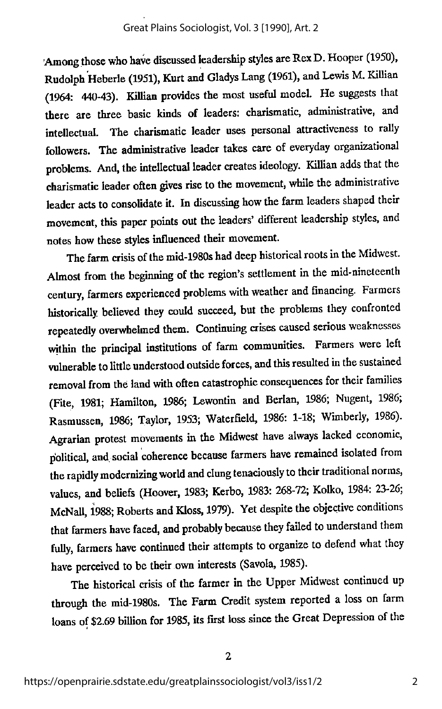'Among those who have discussed leadership styles are Rex D. Hooper (1950), Rudolph Heberle (1951), Kurt and Gladys Lang (1961), and Lewis M. Killian (1964: 440-43). Killian provides the most useful model. He suggests that there are three basic kinds of leaders: charismatic, administrative, and intellectual. The charismatic leader uses personal attractiveness to rally followers. The administrative leader takes care of everyday organizational problems. And, the intellectual leader creates ideology. Killian adds that the charismatic leader often gives rise to the movement, while the administrative leader acts to consolidate it. In discussing how the farm leaders shaped their movement, this paper points out the leaders' different leadership styles, and notes how these styles influenced their movement.

The farm crisis of the mid-1980s had deep historical roots in the Midwest. Almost from the beginning of the region's settlement in the mid-ninetcenlh century, farmers experienced problems wth weather and financing. Farmers historically believed they could succeed, but the problems they confronted repeatedly overwhelmed them. Continuing crises caused serious weaknesses within the principal institutions of farm communities. Farmers were left vulnerable to little understood outside forces, and this resulted in the sustained removal from the land with often catastrophic consequences for their families (Fite, 1981; Hamilton, 1986; Lewontin and Berlan, 1986; Nugent, 1986; Rasmussen, 1986; Taylor, 1953; Waterfield, 1986: 1-18; Wimberly, 1986). Agrarian protest movements in the Midwest have always lacked economic, political, and social coherence because farmers have remained isolated from the rapidly modernizing world and clung tenaciously to their traditional norms, values, and beliefs (Hoover, 1983; Kerbo, 1983: 268-72; Kolko, 1984. 23-26, McNaU, 1988; Roberts and Kloss, 1979). Yet despite the objective conditions that farmers have faced, and probably because they failed to understand them fully, farmers have continued their attempts to organize to defend what they have perceived to be their own interests (Savola, 1985).

The historical crisis of the farmer in the Upper Midwest continued up through the mid-1980s. The Farm Credit system reported a loss on farm loans of \$2.69 billion for 1985, its first loss since the Great Depression of the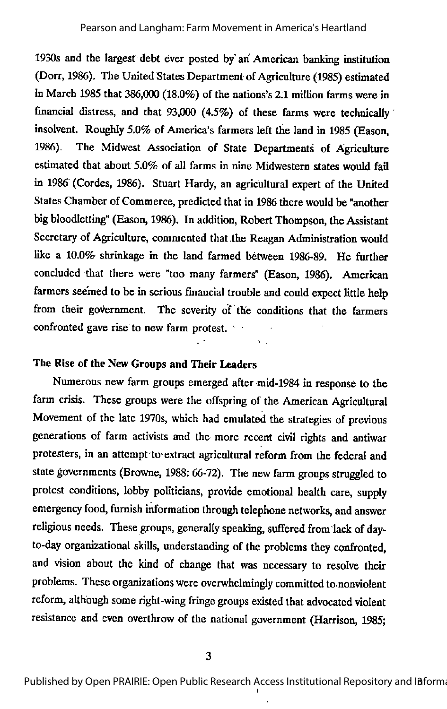1930s and the largest' debt ever posted by'ari American banking institution (Dorr, 1986). The United States Department of Agriculture (1985) estimated in March 1985 that 386,000 (18.0%) of the nations's 2.1million farms were in financial distress, and that 93,000 (4.5%) of these farms were technically insolvent. Roughly 5.0% of America's farmers left the land in 1985 (Eason, 1986). The Midwest Association of State Departments of Agriculture estimated that about 5.0% of all farms in nine Midwestern states would fail in 1986 (Cordes, 1986). Stuart Hardy, an agricultural expert of the United States Chamber of Commerce, predicted that in 1986 there would be "another big bloodletting" (Eason, 1986). In addition, Robert Thompson, the Assistant Secretary of Agriculture, commented that the Reagan Administration would like a 10.0% shrinkage in the land farmed between 1986-89. He further concluded that there were "too many farmers" (Eason, 1986). American farmers seemed to be in serious financial trouble and could expect little help from their government. The severity of the conditions that the farmers confronted gave rise to new farm protest. '

# The Rise of the New Groups and Their Leaders

Numerous new farm groups emerged after mid-1984 in response to the farm crisis. These groups were the offspring of the American Agricultural Movement of the late 1970s, which had emulated the strategies of previous generations of farm activists and the more recent civil rights and antiwar protesters, in an attempt to-extract agricultural reform from the federal and state governments (Browne, 1988: 66-72). The new farm groups struggled to protest conditions, lobby politicians, prowde emotional health care, supply emergency food, furnish information through telephone networks, and answer religious needs. These groups, generally speaking, suffered from lack of dayto-day organizational skills, understanding of the problems they confronted, and vision about the kind of change that was necessary to resolve their problems. These organizations were overwhelmingly committed to nonviolent reform, although some right-wing fringe groups existed that advocated violent resistance and even overthrow of the national government (Harrison, 1985;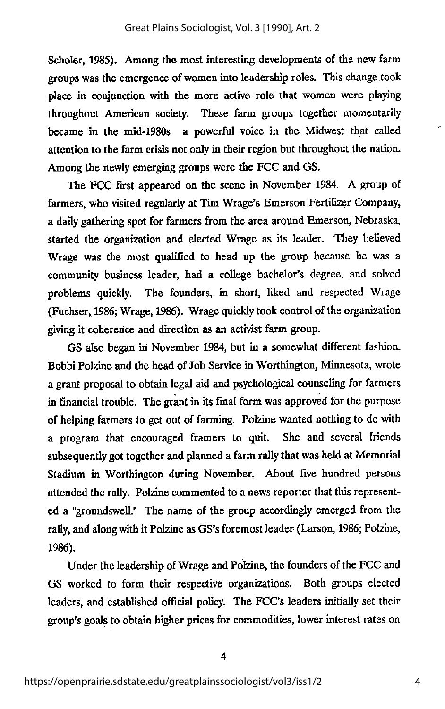Scholer, 1985). Among the most interesting developments of the new farm groups was the emergence of women into leadership roles. This change took place in conjunction with the more active role that women were playing throughout American society. These farm groups together momentarily became in the mid-1980s a powerful voice in the Midwest that called attention to the farm crisis not only in their region but throughout the nation. Among the newly emerging groups were the FCC and GS.

The FCC first appeared on the scene in November 1984. A group of farmers, who visited regularlyat Tim Wrage's Emerson Fertilizer Company, a daily gathering spot for farmers from the area around Emerson, Nebraska, started the organization and elected Wrage as its leader. They believed Wrage was the most qualified to head up the group because he was a community business leader, had a college bachelor's degree, and solved problems quickly. The founders, in short, liked and respected Wrage (Fuchser, 1986; Wrage, 1986). Wrage quickly took control of the organization ^ving it coherence and direction as an activist farm group.

GS also began in November 1984, but in a somewhat different fashion. Bobbi Folzine and the head of Job Service in Worthmgton, Minnesota, wrote a grant proposal to obtain legal aid and psychological counseling for farmers in financial trouble. The grant in its final form was approved for the purpose of helping farmers to get out of farming. Polzine wanted nothing to do with a program that encouraged framers to quit. She and several friends subsequently got together and planned a farm rally that was held at Memorial Stadium in Worthington during November. About five hundred persons attended the rally. Polzine commented to a news reporter that this represented a "groundswell." The name of the group accordingly emerged from the rally, and along with it Polzine as GS's foremost leader (Larson, 1986; Polzine, 1986).

Under the leadership of Wrage and Polzine, the founders of the FCC and GS worked to form their respective organizations. Both groups elected leaders, and established official policy. The FCC's leaders initially set their group's goals to obtain higher prices for commodities, lower interest rates on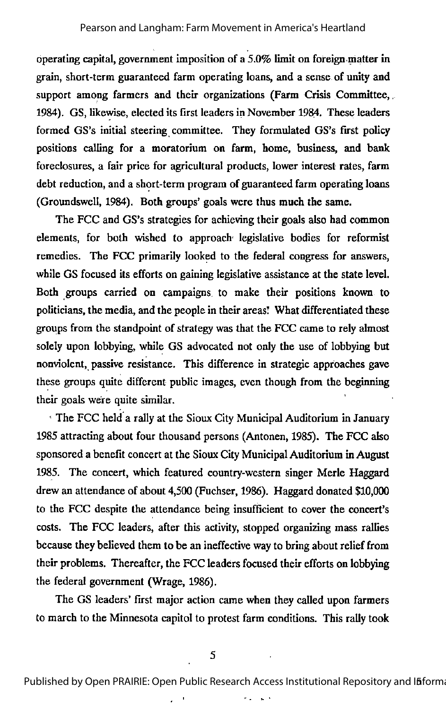operating capital, government imposition of a 5.0% limit on foreign matter in grain, short-term guaranteed farm operating loans, and a sense of unity and support among farmers and their organizations (Farm Crisis Committee, 1984). GS, likewise, elected its first leaders in November 1984. These leaders formed OS's initial steering committee. They formulated OS's first policy positions calling for a moratorium on farm, home, business, and bank foreclosures, a fair price for agricultural products, lower interest rates, farm debt reduction, and a short-term program of guaranteed farm operating loans (Groundswell, 1984). Both groups' goals were thus much the same.

The FCC and GS's strategies for achieving their goals also had common elements, for both wshed to approach legislative bodies for reformist remedies. The FCC primarily looked to the federal congress for answers, while GS focused its efforts on gaining legislative assistance at the state level. Both groups carried on campaigns to make their positions known to politicians, the media, and the people in their areas! What differentiated these groups from the standpoint of strategy was that the FCC came to rely almost solely upon lobbying, while GS advocated not only the use of lobbying but nonviolent, passive resistance. This difference in strategic approaches gave these groups quite different public images, even though from the beginning their goals were quite similar.

' The FCC held a rally at the Sioux City Municipal Auditorium in January 1985 attracting about four thousand persons (Antonen, 1985). The FCC also sponsored a benefit concert at the Sioux City Municipal Auditorium in August 1985. The concert, which featured country-western singer Merle Haggard drew an attendance of about 4,500 (Fuchser, 1986). Haggard donated \$10,000 to the FCC despite the attendance being insufficient to cover the concert's costs. The FCC leaders, after this activity, stopped organizing mass rallies because they believed them to be an ineffective way to bring about relief from their problems. Thereafter, the FCC leadersfocused their effortson lobbying the federal government (Wrage, 1986).

The GS leaders' first major action came when they called upon farmers to march to the Minnesota capitol to protest farm conditions. This rally took

 $\ddot{\phantom{0}}$ 

Published by Open PRAIRIE: Open Public Research Access Institutional Repository and Ififorma

٠.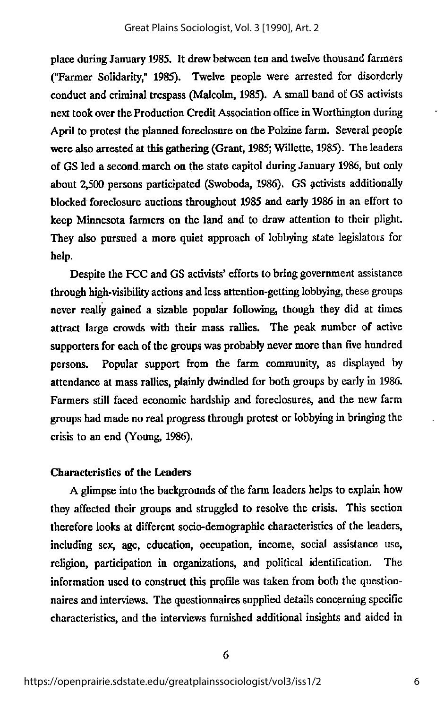place during January 1985. It drewbetween ten and twelve thousand farmers ("Farmer Solidarity," 1985). Twelve people were arrested for disorderly conduct and criminal trespass (Malcolm, 1985). A small band of GS activists next took over the Production Credit Association office in Worthington during April to protest the planned foreclosure on the Polzine farm. Several people were also arrested at this gathering (Grant, 1985; Willette, 1985). The leaders of GS led a second march on the state capitol during January 1986, but only about 2,500 persons participated (Swoboda, 1986). GS activists additionally blocked foreclosure auctions throughout 1985 and early 1986 in an effort to keep Minnesota farmers on the land and to draw attention to their plight. They also pursued a more quiet approach of lobbying state legislators for help.

Despite the FCC and GS activists' efforts to bring government assistance through high-visibility actions and less attention-getting lobbying, these groups never really gained a sizable popular following, though they did at times attract large crowds with their mass rallies. The peak number of active supporters for each of the groups was probably never more than five hundred persons. Popular support from the farm community, as displayed by attendance at massrallies, plainly dwindled for both groups by early in 1986. Farmers still faced economic hardship and foreclosures, and the new farm groups had made no real progress through protest or lobbying in bringing the crisis to an end (Young, 1986).

#### Characteristics of the Leaders

A glimpse into the backgrounds of the farm leaders helps to explain how they affected their groups and struggled to resolve the crisis. This section therefore looks at different sodo-demographic characteristics of the leaders, including sex, age, education, occupation, income, social assistance use, religion, participation in organizations, and political identification. The information used to construct this profile was taken from both the question naires and interviews. The questionnaires supplied details concerning specific characteristics, and the interviews furnished additional insights and aided in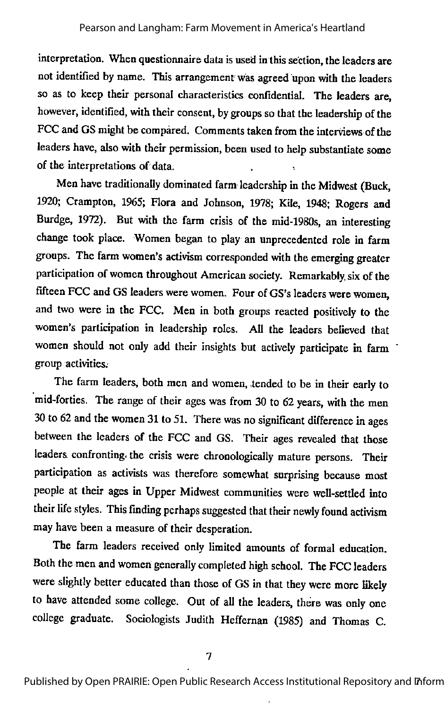interpretation. When questionnaire data is used in this section, the leaders are not identified by name. This arrangement was agreed upon with the leaders so as to keep their personal characteristics confidential. The leaders are, however, identified, with their consent, by groups so that the leadership of the FCC and GS might be compared. Comments taken from the interviews of the leaders have, also with their permission, been used to help substantiate some of the interpretations of data.

Men have traditionally dominated farm leadership in the Midwest (Buck, 1920; Cramplon, 1965; Flora and Johnson, 1978; Kile, 1948; Rogers and Burdge, 1972). But with the farm crisis of the mid-1980s, an interesting change took place. Women began to play an unprecedented role in farm groups. The farm women's activism corresponded with the emerging greater participation of women throughout American society. Remarkably six of the fifteen FCC and GS leaders were women. Four of GS's leaders were women, and two were in the FCC. Men in both groups reacted positively to the women's participation in leadership roles. All the leaders believed that women should not only add their insights but actively participate in farm group activities;

The farm leaders, both men and women, tended to be in their early to mid-forties. The range of their ages was from 30 to 62 years, with the men  $30$  to 62 and the women 31 to 51. There was no significant difference in ages between the leaders of the FCC and GS. Their ages revealed that those leaders confronting the crisis were chronologically mature persons. Their participation as activists was therefore somewhat surprising because most people at their ages in Upper Midwest communities were well-settled into their life styles. This finding perhaps suggested that their newly found activism may have been a measure of their desperation.

The farm leaders received only limited amounts of formal education. Both themen and women generally completed high school. The FCC leaders were slightly better educated than those of GS in that they were more likely to have attended some college. Out of all the leaders, there was only one college graduate. Sociologists Judith Heffernan (1985) and Thomas C.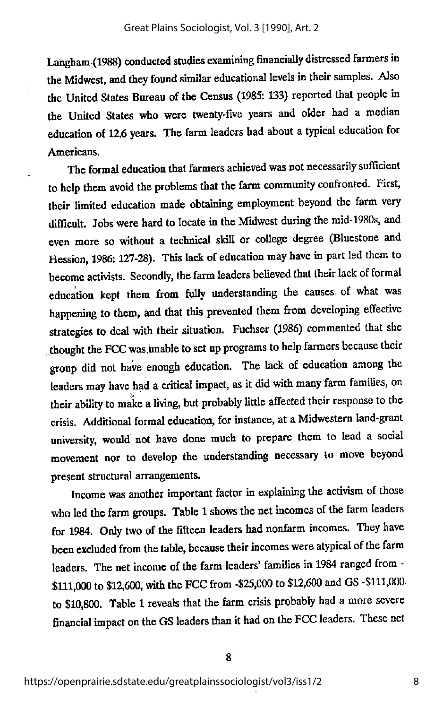Lahgham (1988) conducted studies examining financially distressed farmers in the Midwest, and they found similar educational levels in their samples. Also the United States Bureau of the Census (1985: 133) reported that people in the United States who were twenty-five years and older had a median education of 12.6 years. The farm leaders had about a typical education for Americans.

The formal education that farmers achieved was not necessarily sufficient to help them avoid the problems that the farm community confronted. First, their limited education made obtaining employment beyond the farm very difficult. Jobs were hard to locate in the Midwest during the mid-1980s, and even more so without a technical skill or college degree (Bluestone and Hession, 1986: 127-28). This lack of education may have in part led them to become activists. Secondly, the farm leaders believed that their lack of formal education kept them from fully understanding the causes of what was happening to them, and that this prevented them from developing effective strategies to deal with their situation. Fuchser (1986) commented that she thought the FCC was.unable to set up programs to help farmers because their group did not have enough education. The lack of education among the leaders may have had a critical impact, as it did with many farm families, on their ability to make a living, but probably little affected their response to the crisis. Additional formal education, for instance, at a Midwestern land-grant university, would not have done much to prepare them to lead a social movement nor to develop the understanding necessary to move beyond present structural arrangements.

Income was another important factor in explaining the activism of those who led the farm groups. Table 1 shows the net incomes of the farm leaders for 1984. Only two of the fifteen leaders had nonfarm incomes. They have been excluded from the table, because their incomes were atypical of the farm leaders. The net income of the farm leaders' families in 1984 ranged from -\$111,000 to \$12,600, with the FCC from -\$25,000 to \$12,600 and GS -\$111,000 to \$10,800. Table 1 reveals that the farm crisis probably had a more severe financial impact on the GS leaders than ithad on the FCC leaders. These net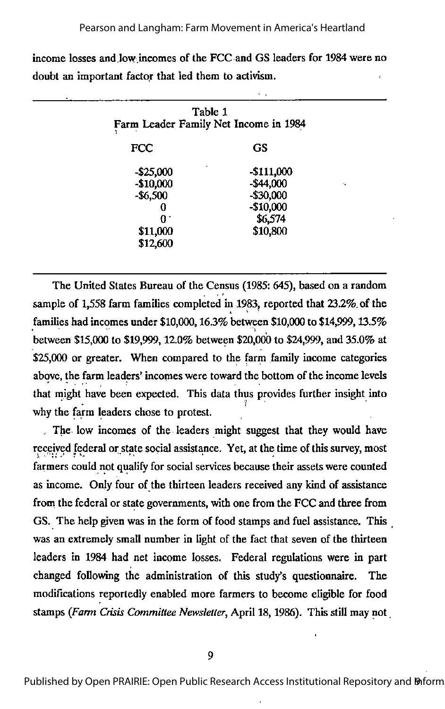income losses and low.incomes of the FCC and GS leaders for 1984 were no doubt an important factor that led them to activism.

| Table 1<br>Farm Leader Family Net Income in 1984 |             |
|--------------------------------------------------|-------------|
| FCC                                              | <b>GS</b>   |
| $-$ \$25,000                                     | $-$111,000$ |
| $-$10,000$                                       | $-$44,000$  |
| $-$6,500$                                        | $-$30,000$  |
| 0                                                | $-$10,000$  |
| በ ፡                                              | \$6,574     |
| \$11,000                                         | \$10,800    |
| \$12,600                                         |             |

The United States Bureau of the Census (1985: 645), based on a random sample of 1,558 farm families completed in 1983, reported that 23.2%, of the families had incomes under \$10,000, 16.3% between \$10,000 to \$14,999, 13.5% between \$15,000 to \$19,999, 12.0% between \$20,000 to \$24,999, and 35.0% at \$25,000 or greater. When compared to the farm family income categories above, the farm leaders' incomes were toward the bottom of the income levels that might have been expected. This data thus provides further insight into / why the farm leaders chose to protest.

, The low incomes of the leaders might suggest that they would have received federal or state social assistance. Yet, at the time of this survey, most farmers could not qualify for social services because their assets were counted as income. Only four of the thirteen leaders received any kind of assistance from the federal or state governments, with one from the FCC and three from GS. The help given was in the form of food stamps and fuel assistance. This was an extremely small number in light of the fact that seven of the thirteen leaders in 1984 had net income losses. Federal regulations were in part changed following the administration of this study's questionnaire. The modifications reportedly enabled more farmers to become eligible for food stamps (Farm Crisis Committee Newsletter, April 18, 1986). This still may not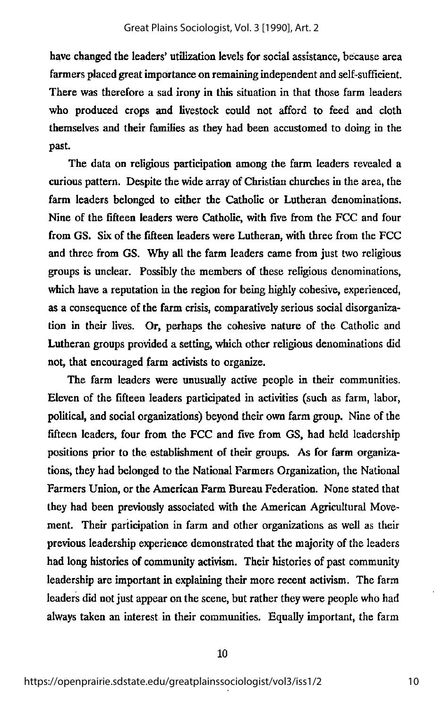have changed the leaders' utilization levels for social assistance, because area farmers placed great importance on remaining independent and self-sufficient. There was therefore a sad irony in this situation in that those farm leaders who produced crops and livestock could not afford to feed and cloth themselves and their families as they had been accustomed to doing in the past.

The data on religious participation among the farm leaders revealed a curious pattern. Despite the wide array of Christian churches in the area, the farm leaders belonged to either the Catholic or Lutheran denominations. Nine of the fifteen leaders were Catholic, with five from the FCC and four from GS. Six of the fifteen leaders were Lutheran, wth three from the FCC and three from GS. Why all the farm leaders came from just two religious groups is unclear. Possibly the members of these religious denominations, which have a reputation in the region for being highly cohesive, experienced, as a consequence of the farm crisis, comparatively serious social disorganization in their lives. Or, perhaps the cohesive nature of the Catholic and Lutheran groups provided a setting, which other religious denominations did not, that encouraged farm activists to organize.

The farm leaders were unusually active people in their communities. Eleven of the fifteen leaders participated in activities (such as farm, labor, political, and social organizations) beyond their own farm group. Nine of the fifteen leaders, four from the FCC and five from GS, had held leadership positions prior to the establishment of their groups. As for farm organiza tions, they had belonged to the National Farmers Organization, the National Farmers Union, or the American Farm Bureau Federation. None stated that they had been previously associated with the American Agricultural Move ment. Their participation in farm and other organizations as well as their previous leadership experience demonstrated that the majority of the leaders had long histories of community activism. Their histories of past community leadership are important in explaining their more recent activism. The farm leaders did not just appear on the scene, but rather they were people who had always taken an interest in their communities. Equally important, the farm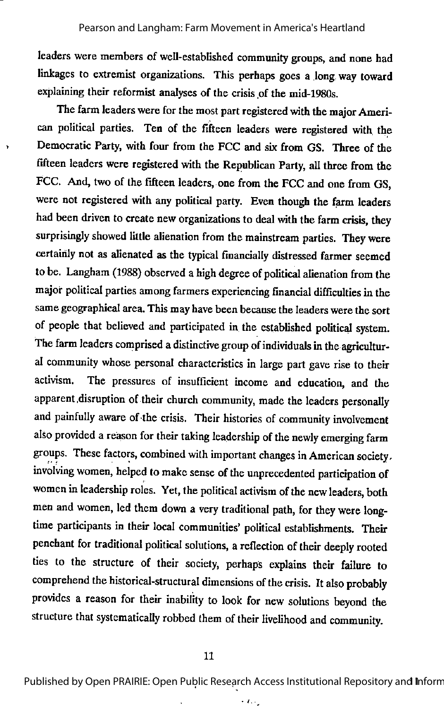leaders were members of well-established community groups, and none had Imkages to extremist organizations. This perhaps goes a long way toward explaining their reformist analyses of the crisis of the mid-1980s.

The farm leaders were for the most part registered with the major American political parties. Ten of the fifteen leaders were registered with the Democratic Party, with four from the FCC and six from GS. Three of the fifteen leaders were registered with the Republican Party, all three from the FCC. And, two of the fifteen leaders, one from the FCC and one from GS, were not registered wth any political party. Even though the farm leaders had been driven to create new organizations to deal with the farm crisis, they surprisingly showed little alienation from the mainstream parties. They were certainly not as alienated as the typical financially distressed farmer seemed to be. Langham (1988) observed a high degree of political alienation from the major political parties among farmers experiencing financial difficulties in the same geographical area. This may have been because the leaders were the sort of people that believed and participated in the established political system. The farm leaders comprised a distinctive group of individuals in the agricultural community whose personal characteristics in large part gave rise to their activism. The pressures of insufficient income and education, and the apparent disruption of their church community, made the leaders personally and painfully aware of the crisis. Their histories of community involvement also provided a reason for their taking leadership of the newly emerging farm groups. These factors, combined with important changes in American society, involving women, helped to make sense of the unprecedented participation of women in leadership roles. Yet, the political activism of the new leaders, both men and women, led them down a very traditional path, for they were long time participants in their local communities' political establishments. Their penchant for traditional political solutions, a reflection of their deeply rooted ties to the structure of their society, perhaps explains their failure to comprehend the historical-structural dimensions of the crisis. It also probably provides a reason for their inability to look for new solutions beyond the structure that systematically robbed them of their livelihood and community.

Published by Open PRAIRIE: Open Public Research Access Institutional Repository and Inform

 $\sim 10^{-1}$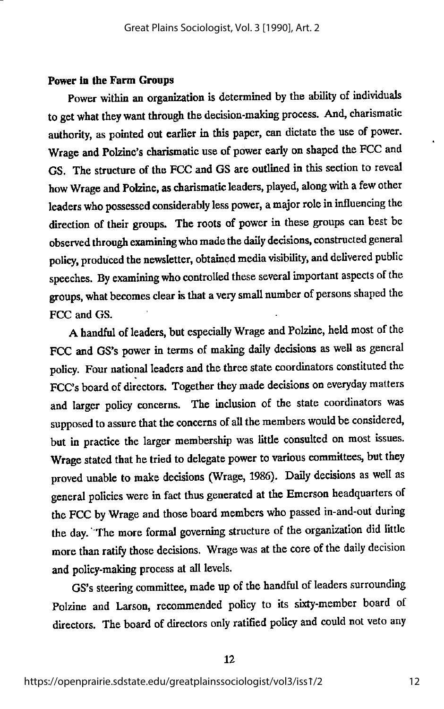#### Power in the Farm Groups

Power within an organization is determined by the ability of individuals to get what they want through the decision-making process. And, charismatic authority, as pointed out earlier in this paper, can dictate the use of power. Wrage and Polzine's charismatic use of power early on shaped the FCC and GS. The structure of the FCC and GS are outlined in this section to reveal how Wrage and Polzine, as charismatic leaders, played, along with a few other leaders who possessed considerably less power, a major role in influencing the direction of their groups. The roots of power in these groups can best be observed through examining who made the daily decisions, constructed general policy, produced the newsletter, obtained media visibility, and delivered public speeches. By examining who controlled these several important aspects of the groups, what becomes clear is that a very small number of persons shaped the FCC and GS.

A handful of leaders, but especially Wrage and Polzine, held most of the FCC and GS's power in terms of making daily decisions as well as general policy. Four national leaders and the three state coordinators constituted the FCC's board of directors. Together they made decisions on everyday matters and larger policy concerns. The inclusion of the state coordinators was supposed to assure that the concerns of all the members would be considered, but in practice the larger membership was little consulted on most issues. Wrage stated that he tried to delegate power to various committees, but they proved unable to make decisions (Wrage, 1986). Daily decisions as well as general policies were in fact thus generated at the Emerson headquarters of the FCC by Wrage and those board members who passed in-and-out during the day. The more formal governing structure of the organization did little more than ratify those decisions. Wrage was at the core of the daily decision and policy-making process at all levels.

GS's steering committee, made up of the handful of leaders surrounding Polzine and Larson, recommended policy to its sixty-member board of directors. The board of directors only ratified policy and could not veto any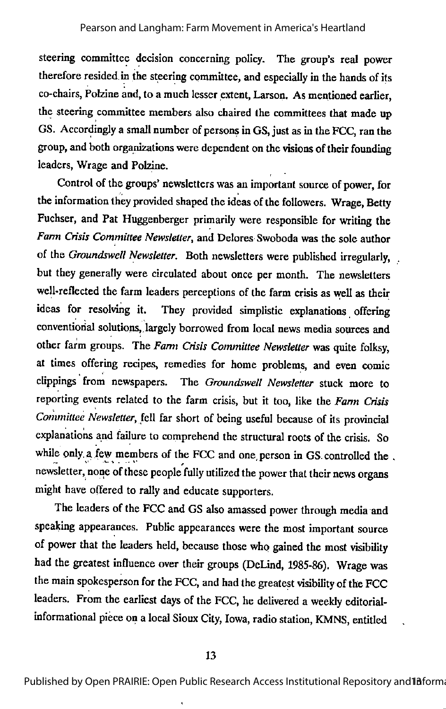steering committee decision concerning policy. The group's real power therefore resided in the steering committee, and especially in the hands of its co-chairs, Polzine and, to a much lesser extent, Larson. As mentioned earlier, the steering committee members also chaired the committees that made up GS. Accordingly a small number of persons in GS, just as in the FCC, ran the group, and both organizations were dependent on the visions of their founding leaders, Wrage and Polzine.

Control of the groups' newsletters was an important source of power, for the information they provided shaped the ideas of the followers. Wrage, Betty Fuchser, and Pat Huggenberger primarily were responsible for writing the Fann Crisis Committee Newsletter, and Delores Swoboda was the sole author of the Groundswell Newsletter. Both newsletters were published irregularly, but they generally were circulated about once per month. The newsletters well-reflected the farm leaders perceptions of the farm crisis as well as their ideas for resolving it. They provided simplistic explanations offering conventional solutions, largely borrowed from local news media sources and other farm groups. The Farm Crisis Committee Newsletter was quite folksy, at times offering recipes, remedies for home problems, and even comic clippings from newspapers. The Groundswell Newsletter stuck more to reporting events related to the farm crisis, but it too, like the Fann Crisis Committee Newsletter, fell far short of being useful because of its provincial explanations and failure to comprehend the structural roots of the crisis. So while only a few members of the FCC and one person in GS controlled the . newsletter, none of these people fully utilized the power that their news organs might have offered to rally and educate supporters.

The leaders of the FCC and GS also amassed power through media and speaking appearances. Public appearances were the most important source of power that the leaders held, because those who gained the most visibility had the greatest influence over their groups (DeLind, 1985-86). Wrage was the main spokesperson for the FCC, and had the greatest visibility of the FCC leaders. From the earliest days of the FCC, he delivered a weekly editorialinformational piece on a local Sioux City, Iowa, radio station, KMNS, entitled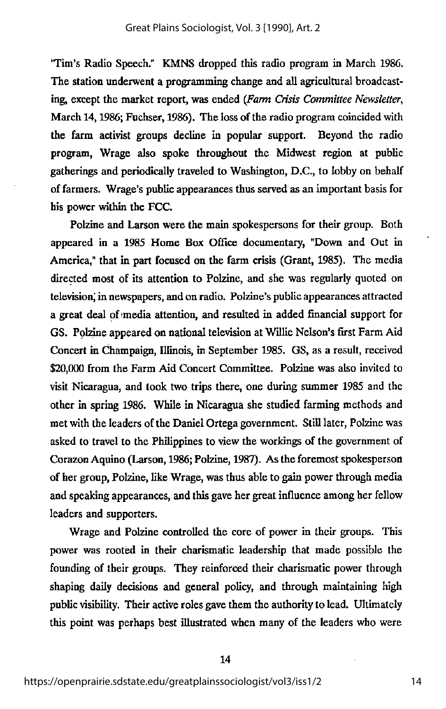'Tim's Radio Speech." KMNS dropped this radio program in March 1986. The station underwent a programming change and all agricultural broadcast ing, except the market report, was ended (Farm Crisis Committee Newsletter, March 14,1986; Fuchser, 1986). The loss of the radio program coincided with the farm activist groups decline in popular support. Beyond the radio program, Wrage also spoke throughout the Midwest region at public gatherings and periodically traveled to Washington, D.C., to lobby on behalf of farmers. Wrage's public appearances thus served as an important basis for his power within the FCC.

Polzine and Larson were the main spokespersons for their group. Both appeared in a 1985 Home Box Office documentary, "Down and Out in America," that in part focused on the farm crisis (Grant, 1985). The media directed most of its attention to Polzine, and she was regularly quoted on television, in newspapers, and on radio. Polzine's public appearances attracted a great deal of media attention, and resulted in added financial support for GS. Polzine appeared on national television at Willie Nelson's first Farm Aid Concert in Champaign, Illinois, in September 1985. GS, as a result, received \$20,000 from the Farm Aid Concert Committee. Polzine was also invited to visit Nicaragua, and took two trips there, one during summer 1985 and the other in spring 1986. While in Nicaragua she studied farming methods and met with the leaders of the Daniel Ortega government. Still later, Polzine was asked to travel to the Philippines to view the workings of the government of Corazon Aquino (Larson, 1986; Polzine, 1987). As the foremost spokesperson of her group, Polzine, like Wrage, was thus able to gain power through media and speaking appearances, and this gave her great influence among her fellow leaders and supporters.

Wrage and Polzine controlled the core of power in their groups. This power was rooted in their charismatic leadership that made possible the founding of their groups. They reinforced their charismatic power through shaping daily decisions and general policy, and through maintaining high public visibility. Their active roles gave them the authority to lead. Ultimately this point was perhaps best illustrated when many of the leaders who were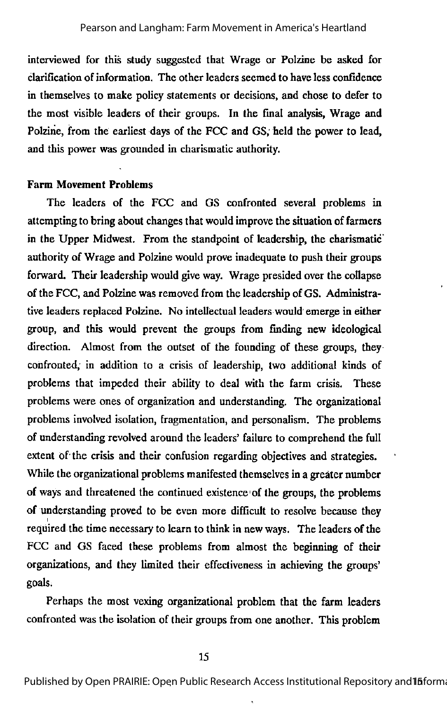interviewed for this study suggested that Wrage or Polzine be asked for clarification ofinformation. The other leaders seemed to have less confidence in themselves to make policy statements or decisions, and chose to defer to the most visible leaders of their groups. In the final analysis, Wrage and Polzine, from the earliest days of the FCC and GS; held the power to lead, and this power was grounded in charismatic authority.

#### Farm Movement Problems

The leaders of the FCC and OS confronted several problems in attempting to bring about changes that would improve the situation of farmers in the Upper Midwest. From the standpoint of leadership, the charismatic' authority of Wrage and Polzine would prove inadequate to push their groups forward. Their leadership would give way. Wrage presided over the collapse of the FCC, and Polzine was removed from the leadership of OS. Administra tive leaders replaced Polzine. No intellectual leaders would emerge in either group, and this would prevent the groups from finding new ideological direction. Almost from the outset of the founding of these groups, theyconfronted; in addition to a crisis of leadership, two additional kinds of problems that impeded their ability to deal with the farm crisis. These problems were ones of organization and understanding. The organizational problems involved isolation, fragmentation, and personalism. The problems of understanding revolved around the leaders' failure to comprehend the full extent of' the crisis and their confusion regarding objectives and strategies. While the organizational problems manifested themselves in a greater number of ways and threatened the continued existence' of the groups, the problems of understanding proved to be even more difficult to resolve because they required the time necessary to learn to think in newways. The leaders of the FCC and GS faced these problems from almost the beginning of their organizations, and they limited their effectiveness in achieving the groups' goals.

Perhaps the most vexing organizational problem that the farm leaders confronted was the isolation of their groups from one another. This problem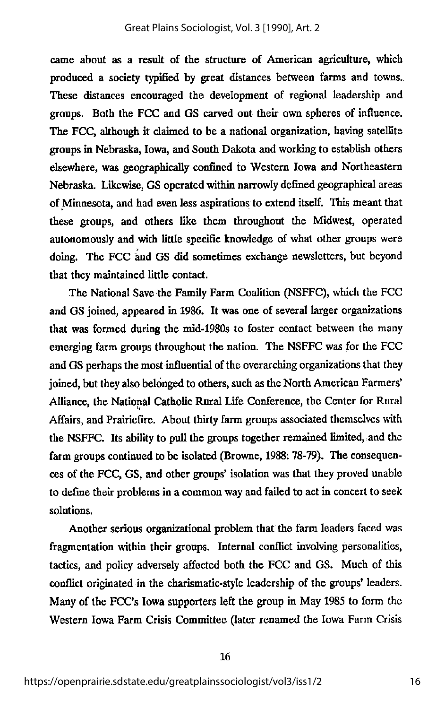came about as a result of the structure of American agriculture, which produced a society typified by great distances between farms and towns. These distances encouraged the development of regional leadership and groups. Both the FCC and GS carved out their own spheres of influence. The FCC, although it claimed to be a national organization, having satellite groups in Nebraska, Iowa, and South Dakota and working to establish others elsewhere, was geographically confined to Western Iowa and Northeastern Nebraska. Likewise, GS operated within narrowly defined geographical areas of Minnesota, and had even less aspirations to extend itself. This meant that these groups, and others like them throughout the Midwest, operated autonomously and with little specific knowledge of what other groups were doing. The FCC and GS did sometimes exchange newsletters, but beyond that they maintained little contact.

The National Save the Family Farm Coalition (NSFFC), which the FCC and GS joined, appeared in 1986. It was one of several larger organizations that was formed during the mid-1980s to foster contact between the many emerging farm groups throughout the nation. The NSFFC was for the FCC and GS perhaps the most influential of the overarching organizations that they joined, but they also belonged to others, such as the North American Farmers' Alliance, the National Catholic Rural Life Conference, the Center for Rural Affairs, and Prairiefire. About thirty farm groups associated themselves with the NSFFC. Its ability to pull the groups together remained limited, and the farm groups continued to be isolated (Browne, 1988: 78-79). The consequences of the FCC, GS, and other groups' isolationwas that they proved unable to define their problems in a common way and failed to act in concert to seek solutions.

Another serious organizational problem that the farm leaders faced was fragmentation within their groups. Internal conflict involving personalities, tactics, and policy adversely affected both the FCC and GS. Much of this conflict originated in the charismatic-style leadership of the groups' leaders. Many of the FCC's Iowa supporters left the group in May 1985 to form the Western Iowa Farm Crisis Committee (later renamed the Iowa Farm Crisis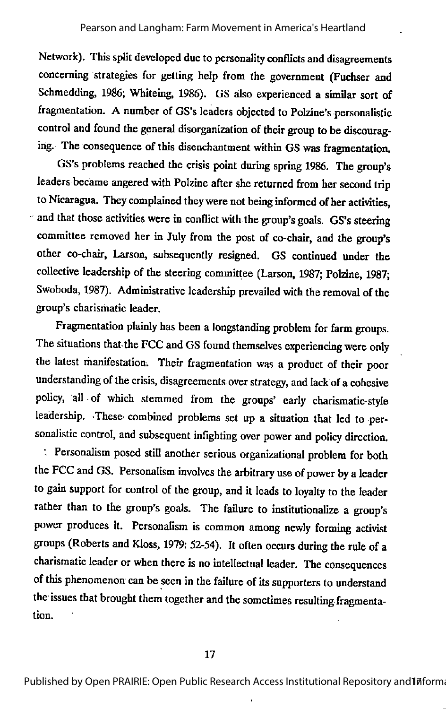Network). This split developed due to personality conflicts and disagreements concerning strategies for getting help from the government (Fuchser and Schmedding, 1986; Whiteing, 1986). GS also experienced a similar sort of fragmentation. A number of GS's leaders objected to Polzine's personalistic control and found the general disorganization of their group to be discouraging. The consequence of this disenchantment within GS was fragmentation.

OS's problems reached the crisis point during spring 1986. The group's leaders became angered with Polzine after she returned from her second trip to Nicaragua. They complained they were not being informed of her activities, and that those activities were in conflict with the group's goals. OS's steering committee removed her in July from the post of co-chair, and the group's other co-chair, Larson, subsequently resigned. GS continued imder the collective leadership of the steering committee (Larson, 1987; Polzine, 1987; Swoboda, 1987). Administrative leadership prevailed with the removal of the group's charismatic leader.

Fragmentation plainly has been a longstanding problem for farm groups. The situations that-the FCC and GS found themselves experiencing were only the latest manifestation. Their fragmentation was a product of their poor understanding of the crisis, disagreements over strategy, and lack of a cohesive policy, all •of which stemmed from the groups' early charismatic-style leadership. These' combined problems set up a situation that led to personalistic control, and subsequent infighting over power and policy direction.

: Personalism posed still another serious organizational problem for both the FCC and GS. Personalism involves the arbitrary use of power by aleader to gain support for control of the group, and it leads to loyalty to the leader rather than to the group's goals. The failure to institutionalize a group's power produces it. Personalism is common among newly forming activist groups (Roberts and Kloss, 1979: 52-54). It often occurs during the rule of a charismatic leader or when there is no intellectual leader. The consequences of this phenomenon can be seen in the failure of its supporters to understand the issues that brought them together and the sometimes resulting fragmenta tion.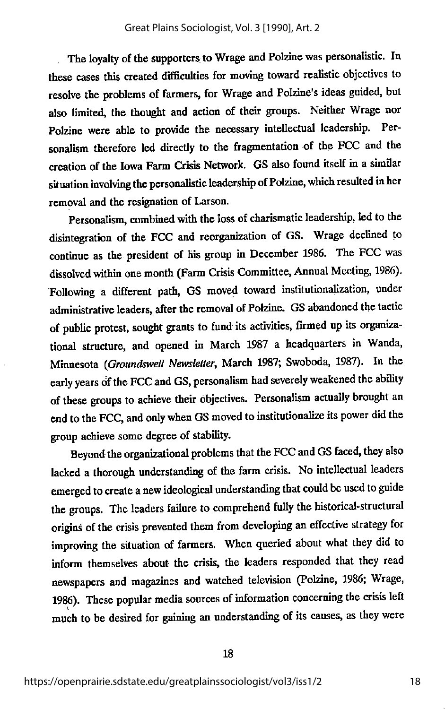The loyalty of the supporters to Wrage and Polzine was personalistic. In these cases this created difficulties for moving toward realistic objectives to resolve the problems of farmers, for Wrage and Polzine's ideas guided, but also limited, the thought and action of their groups. Neither Wrage nor Polzine were able to provide the necessary intellectual leadership. Personalism therefore led directly to the fragmentation of the FCC and the creation of the Iowa Farm Crisis Network. GS also found itself in a similar situation involving the personalistic leadership of Polzine, which resulted in her removal and the resignation of Larson.

Personalism, combined with the loss of charismatic leadership, led to the disintegration of the FCC and reorganization of GS. Wrage declined to continue as the president of his group in December 1986. The FCC was dissolved within one month (Farm Crisis Committee, Annual Meeting, 1986). Following a different path, GS moved toward institutionalization, under administrative leaders, after the removal of Polzine. GS abandoned the tactic of public protest, sought grants to fund its activities, firmed up its organiza tional structure, and opened in March 1987 a headquarters in Wanda, Minnesota (Groundswell Newsletter, March 1987; Swoboda, 1987). In the early years of the FCC and GS, personalism had severely weakened the ability of these groups to achieve their objectives. Personalism actually brought an end to the FCC, and only when GS moved to institutionalize its power did the group achieve some degree of stability.

Beyond the organizational problems that the FCC and GS faced, they also lacked a thorough understanding of the farm crisis. No intellectual leaders emerged to create anew ideological understanding that could be used to guide the groups. The leaders failure to comprehend fully the historical-structural origins of the crisis prevented them from developing an effective strategy for improving the situation of farmers. When queried about what they did to inform themselves about the crisis, the leaders responded that they read newspapers and magazines and watched television (Polzine, 1986; Wrage, 1986). These popular media sources of information concerning the crisis left much to be desired for gaining an understanding of its causes, as they were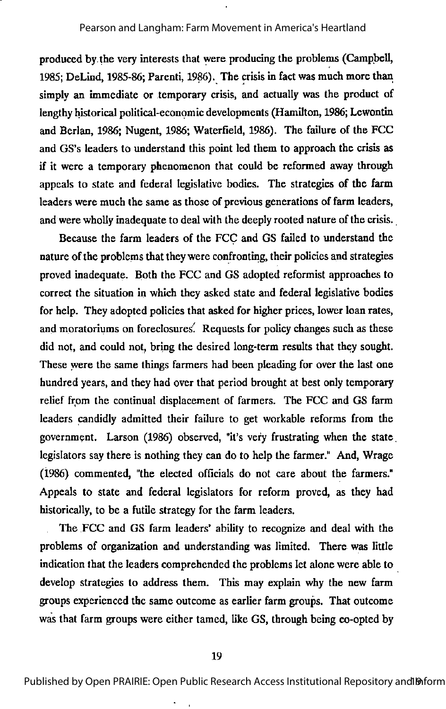produced by.the very interests that were producing the problems (Campbell, 1985; DeLind, 1985-86; Parenti, 1986). The crisis in fact wasmuch more than simply an immediate or temporary crisis, and actually was the product of lengthy historical political-economic developments (Hamilton, 1986; Lewontin and Berlan, 1986; Nugent, 1986; Waterfield, 1986). The failure of the FCC and GS's leaders to understand this point led them to approach the crisis as if it were a temporary phenomenon that could be reformed away through appeals to state and federal legislative bodies. The strategies of the farm leaders were much the same as those of previous generations of farm leaders, and were wholly inadequate to deal with the deeply rooted nature of the crisis.

Because the farm leaders of the FCC and GS failed to understand the nature of the problems that they were confronting, their policies and strategies proved inadequate. Both the FCC and GS adopted reformist approaches to correct the situation in which they asked state and federal legislative bodies for help. They adopted policies that asked for higher prices, lower loan rates, and moratoriums on foreclosures. Requests for policy changes such as these did not, and could not, bring the desired long-term results that they sought. These were the same things farmers had been pleading for over the last one hundred years, and they had over that period brought at best only temporary relief from the continual displacement of farmers. The FCC and GS farm leaders candidly admitted their failure to get workable reforms from the government. Larson (1986) observed, "it's very frustrating when the state, legislators say there is nothing they can do to help the farmer." And, Wrage (1986) commented, "the elected officials do not care about the farmers." Appeals to state and federal legislators for reform proved, as they had historically, to be a futile strategy for the farm leaders.

The FCC and GS farm leaders' ability to recognize and deal with the problems of organization and understanding was limited. There was little indication that the leaders comprehended the problems let alone were able to develop strategies to address them. This may explain why the new farm groups experienced the same outcome as earlier farm groups. That outcome was that farm groups were either tamed, like GS, through being co-opted by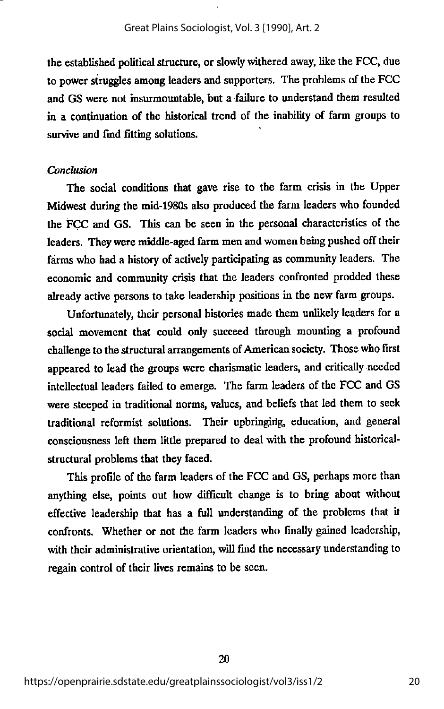the established political structure, or slowly withered away, like the FCC, due to power struggles among leaders and supporters. The problems of the FCC and GS were not insurmountable, but a failure to understand them resulted in a continuation of the historical trend of the inability of farm groups to survive and find fitting solutions.

#### Conclusion

The social conditions that gave rise to the farm crisis in the Upper Midwest during the mid-1980s also produced the farm leaders who founded the FCC and GS. This can be seen in the personal characteristics of the leaders. They were middle-aged farm men and women being pushed off their farms who had a history of actively participating as community leaders. The economic and community crisis that the leaders confronted prodded these already active persons to take leadership positions in the new farm groups.

Unfortunately, their personal histories made them unlikely leaders for a social movement that could only succeed through mounting a profound challenge to the structural arrangements of American society. Those who first appeared to lead the groups were charismatic leaders, and critically needed intellectual leaders failed to emerge. The farm leaders of the FCC and GS were steeped in traditional norms, values, and beliefs that led them to seek traditional reformist solutions. Their upbringing, education, and general consciousness left them little prepared to deal with the profound historicalstructural problems that they faced.

This profile of the farm leaders of the FCC and GS, perhaps more than anything else, points out how difficult change is to bring about without effective leadership that has a full understanding of the problems that it confronts. Whether or not the farm leaders who finally gained leadership, with their administrative orientation, will find the necessary understanding to regain control of their lives remains to be seen.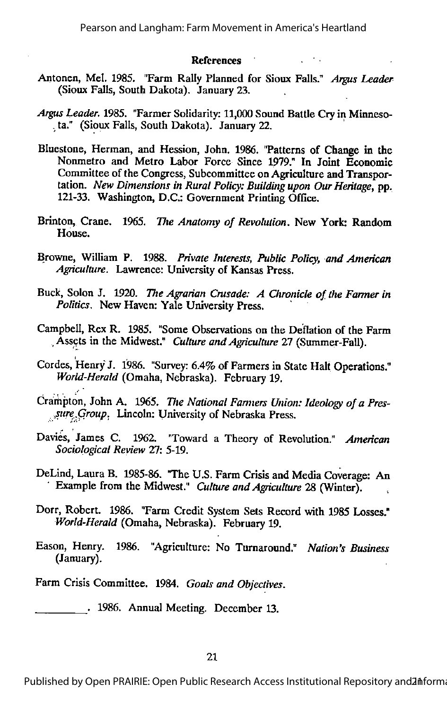#### References

- Antonen, Mel. 1985. "Farm Rally Planned for Sioux Falls." Argus Leader (Sioux Falls, South Dakota). January 23.
- Argus Leader. 1985. "Farmer Solidarity: 11,000 Sound Battle Cry in Minneso-. ta." (Sioux Falls, South Dakota). January 22.
- Bluestone, Herman, and Hession, John. 1986. "Patterns of Change in the Nonmetro and Metro Labor Force Since 1979." In Joint Economic Committee of the Congress, Subcommittee on Agriculture and Transportation. New Dimensions in Rural Policy: Building upon Our Heritage, pp. 121-33. Washington, D.C.: Government Printing Office.
- Brinton, Crane. 1965. The Anatomy of Revolution. New York: Random House.
- Browne, William P. 1988. Private Interests, Public Policy, and American Agriculture. Lawrence: University of Kansas Press.
- Buck, Solon J. 1920. The Agrarian Crusade: A Chronicle of the Farmer in Politics. New Haven: Yale University Press.
- Campbell, Rex R. 1985. "Some Observations on the Deflation of the Farm Assets in the Midwest." Culture and Agriculture 27 (Summer-Fall).
- Cordes, Henry J. 1986. "Survey: 6.4% of Farmers in State Halt Operations." World-Herald (Omaha, Nebraska). February 19.
- Crampton, John A. 1965. The National Farmers Union: Ideology of a Pressure Group. Lincoln: University of Nebraska Press.
- Davies, James C. 1962. "Toward a Theory of Revolution." American Sociological Review 27: 5-19.
- DeLind, Laura B. 1985-86. The U.S. Farm Crisis and Media Coverage: An Example from the Midwest." Culture and Agriculture 28 (Winter).
- Dorr, Robert. 1986. "Farm Credit System Sets Record with 1985 Losses." World-Herald (Omaha, Nebraska). February 19.
- Eason, Henry. 1986. "Agriculture: No Turnaround." Nation's Business (January).
- Farm Crisis Committee. 1984. Goals and Objectives.

. 1986. Annual Meeting. December 13.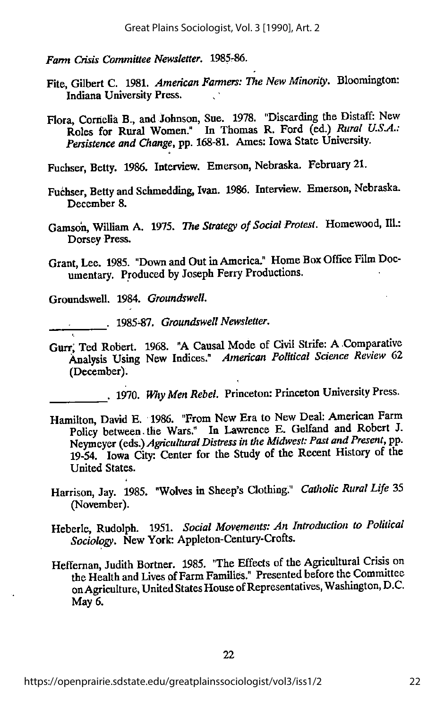Farm Crisis Committee Newsletter. 1985-86.

- Fite, Gilbert C. 1981. American Farmers: The New Minority. Bloomington: Indiana University Press.
- Flora, Cornelia B., and Johnson, Sue. 1978. "Discarding the Distaff: New Roles for Rural Women." In Thomas R. Ford (ed.) Rural U.S.A.: Persistence and Change, pp. 168-81. Ames: Iowa State University.
- Fuchser, Betty. 1986. Interview. Emerson, Nebraska. February 21.
- Fuchser, Betty and Schmedding, Ivan. 1986. Interview. Emerson, Nebraska. December 8.
- Gamson, William A. 1975. The Strategy of Social Protest. Homewood, Ill.: Dorsey Press.
- Grant, Lee. 1985. "Down and Out in America." Home Box Office Film Doc umentary. Produced by Joseph Ferry Productions.

Groundswell. 1984. Groundswell.

1985-87. Groundswell Newsletter.

Gurr, Ted Robert. 1968. "A Causal Mode of Civil Strife: <sup>A</sup> Comparative Analysis Using New Indices." American Political Science Review <sup>62</sup> (December).

1970. Why Men Rebel. Princeton: Princeton University Press.

- Hamilton, David E. 1986. "From New Era to New Deal: American Farm Policy between, the Wars." In Lawrence E. Gelfand and Robert J. Neymeyer (eds.) Agricultural Distress in the Midwest: Past and Present, pp. 19-54. Iowa City: Center for the Study of the Recent History of the United States.
- Harrison, Jay. 1985. "Wolves in Sheep's Clothing." Catholic Rural Life 35 (November).
- Heberle, Rudolph. 1951. Social Movements: An Introduction to Political Sociology. New York: Appleton-Century-Crofts.
- Heffernan, Judith Bortner. 1985. "The Effects of the Agricultural Crisis on the Health and Lives of Farm Families." Presented before the Committee on Agriculture, United States House of Representatives, Washington, D.C. May 6.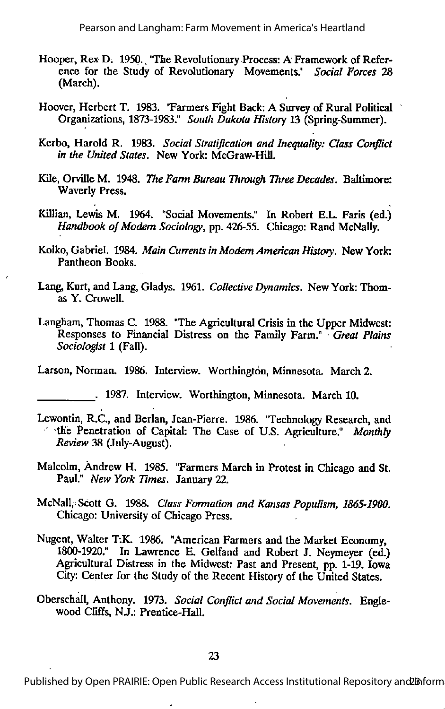- Hooper, Rex D. 1950. The Revolutionary Process: A Framework of Reference for the Study of Revolutionary Movements." Social Forces 28 (March).
- Hoover, Herbert T. 1983. "Farmers Fight Back: A Survey of Rural Political Organizations, 1873-1983." South Dakota History 13 (Spring-Summer).
- Kerbo, Harold R. 1983. Social Stratification and Inequality: Class Conflict in the United States. New York: McGraw-Hill.
- Kile, Orville M. 1948. The Farm Bureau Through Three Decades. Baltimore: Waverly Press.
- Killian, Lewis M. 1964. "Social Movements." In Robert E.L. Faris (ed.) Handbook of Modern Sociology, pp. 426-55. Chicago: Rand McNally.
- Kolko, Gabriel. 1984. Main Currents in Modern American History. New York: Pantheon Books.
- Lang, Kurt, and Lang, Gladys. 1961. Collective Dynamics. New York: Thom as Y. Crowell.
- Langham, Thomas C. 1988. "The Agricultural Crisis in the Upper Midwest: Responses to Financial Distress on the Family Farm." Great Plains Sociologist 1 (Fall).

Larson, Norman. 1986. Interview. Worthington, Minnesota. March 2.

- . 1987. Interview. Worthington, Minnesota. March 10.
- Lewontin, R.C., and Berlan, Jean-Pierre. 1986. "Technology Research, and  $\cdot$  the Penetration of Capital: The Case of U.S. Agriculture." Monthly Review 38 (July-August).
- Malcolm, Andrew H. 1985. "Farmers March in Protest in Chicago and St. Paul." New York Times. January 22.
- McNall, Scott G. 1988. Class Formation and Kansas Populism, 1865-1900. Chicago: University of Chicago Press.
- Nugent, Walter T;K. 1986. "American Farmers and the Market Economy, 1800-1920." In Lawrence E. Gelfand and Robert J. Neymeyer (ed.) Apicultural Distress in the Midwest: Past and Present, pp. 1-19. Iowa City: Center for the Study of the Recent History of the United States.
- Oberschall, Anthony. 1973. Social Conflict and Social Movements. Englewood Cliffs, NJ.: Prentice-Hall.

23

Published by Open PRAIRIE: Open Public Research Access Institutional Repository and Diform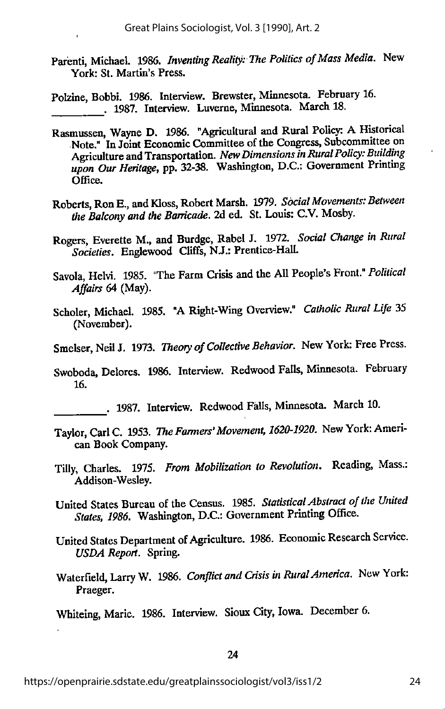- Parenti, Michael. 1986. Inventing Reality: The Politics of Mass Media. New York: St. Martin's Press.
- Polzine, Bobbi. 1986. Interview. Brewster, Minnesota. February 16. . 1987. Interview. Luverne, Minnesota. March 18.
- Rasmussen, Wayne D. 1986. "Agricultural and Rural Policy: A Historical Note." In Joint Economic Committee of the Congress, Subcommittee on Agriculture and Transportation. New Dimensions in Rural Policy: Building upon Our Heritage, pp. 32-38. Washington, D.C.: Government Printing Office.
- Roberts, Ron E., and Kloss, Robert Marsh. 1979. Social Movements: Between the Balcony and the Barricade. 2d ed. St. Louis: C.V. Mosby.
- Rogers, Everette M., and Burdge, Rabel J. 1972. Social Change in Rural Societies. Englewood Cliffs, NJ.: Prentice-Hall.
- Savola, Helvi. 1985. "The Farm Crisis and the All People's Front." Political Affairs 64 (May).
- Scholer, Michael. 1985. "A Right-Wing Overview." Catholic Rural Life 35 (November).
- Smelser, Neil J. 1973. Theory of Collective Behavior. New York: Free Press.
- Swoboda, Delores. 1986. Interview. Redwood Falls, Minnesota. February 16.
	- . 1987. Interview. Redwood Falls, Minnesota. March 10.
- Taylor, Carl C. 1953. The Farmers'Movement, 1620-1920. New York: Ameri can Book Company.
- Tilly, Charles. 1975. From Mobilization to Revolution. Reading, Mass.: Addison-Wesley.
- United States Bureau of the Census. 1985. Statistical Abstract of the United States, 1986. Washington, D.C.: Government Printing Office.
- United States Department of Agriculture. 1986. Economic Research Service. USDA Report. Spring.
- Waterfield, Larry W. 1986. Conflict and Crisis in Rural America. New York: Praeger.

Whiteing, Marie. 1986. Interview. Sioux City, Iowa. December 6.

24